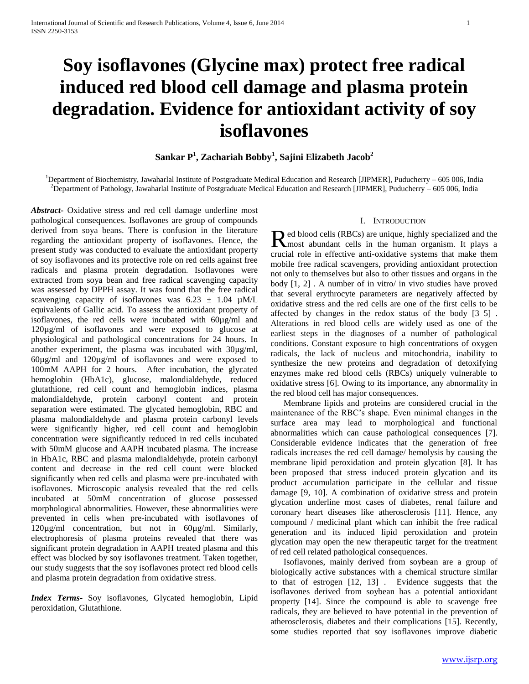# **Soy isoflavones (Glycine max) protect free radical induced red blood cell damage and plasma protein degradation. Evidence for antioxidant activity of soy isoflavones**

# **Sankar P<sup>1</sup> , Zachariah Bobby<sup>1</sup> , Sajini Elizabeth Jacob<sup>2</sup>**

<sup>1</sup>Department of Biochemistry, Jawaharlal Institute of Postgraduate Medical Education and Research [JIPMER], Puducherry – 605 006, India <sup>2</sup>Department of Pathology, Jawaharlal Institute of Postgraduate Medical Education and Research [JIPMER], Puducherry  $-605006$ , India

*Abstract***-** Oxidative stress and red cell damage underline most pathological consequences. Isoflavones are group of compounds derived from soya beans. There is confusion in the literature regarding the antioxidant property of isoflavones. Hence, the present study was conducted to evaluate the antioxidant property of soy isoflavones and its protective role on red cells against free radicals and plasma protein degradation. Isoflavones were extracted from soya bean and free radical scavenging capacity was assessed by DPPH assay. It was found that the free radical scavenging capacity of isoflavones was  $6.23 \pm 1.04 \mu M/L$ equivalents of Gallic acid. To assess the antioxidant property of isoflavones, the red cells were incubated with 60µg/ml and 120µg/ml of isoflavones and were exposed to glucose at physiological and pathological concentrations for 24 hours. In another experiment, the plasma was incubated with 30µg/ml, 60µg/ml and 120µg/ml of isoflavones and were exposed to 100mM AAPH for 2 hours. After incubation, the glycated hemoglobin (HbA1c), glucose, malondialdehyde, reduced glutathione, red cell count and hemoglobin indices, plasma malondialdehyde, protein carbonyl content and protein separation were estimated. The glycated hemoglobin, RBC and plasma malondialdehyde and plasma protein carbonyl levels were significantly higher, red cell count and hemoglobin concentration were significantly reduced in red cells incubated with 50mM glucose and AAPH incubated plasma. The increase in HbA1c, RBC and plasma malondialdehyde, protein carbonyl content and decrease in the red cell count were blocked significantly when red cells and plasma were pre-incubated with isoflavones. Microscopic analysis revealed that the red cells incubated at 50mM concentration of glucose possessed morphological abnormalities. However, these abnormalities were prevented in cells when pre-incubated with isoflavones of 120µg/ml concentration, but not in 60µg/ml. Similarly, electrophoresis of plasma proteins revealed that there was significant protein degradation in AAPH treated plasma and this effect was blocked by soy isoflavones treatment. Taken together, our study suggests that the soy isoflavones protect red blood cells and plasma protein degradation from oxidative stress.

*Index Terms*- Soy isoflavones, Glycated hemoglobin, Lipid peroxidation, Glutathione.

### I. INTRODUCTION

ed blood cells (RBCs) are unique, highly specialized and the Red blood cells (RBCs) are unique, highly specialized and the human organism. It plays a crucial role in effective anti-oxidative systems that make them mobile free radical scavengers, providing antioxidant protection not only to themselves but also to other tissues and organs in the body [1, 2] . A number of in vitro/ in vivo studies have proved that several erythrocyte parameters are negatively affected by oxidative stress and the red cells are one of the first cells to be affected by changes in the redox status of the body [3–5] . Alterations in red blood cells are widely used as one of the earliest steps in the diagnoses of a number of pathological conditions. Constant exposure to high concentrations of oxygen radicals, the lack of nucleus and mitochondria, inability to synthesize the new proteins and degradation of detoxifying enzymes make red blood cells (RBCs) uniquely vulnerable to oxidative stress [6]. Owing to its importance, any abnormality in the red blood cell has major consequences.

 Membrane lipids and proteins are considered crucial in the maintenance of the RBC's shape. Even minimal changes in the surface area may lead to morphological and functional abnormalities which can cause pathological consequences [7]. Considerable evidence indicates that the generation of free radicals increases the red cell damage/ hemolysis by causing the membrane lipid peroxidation and protein glycation [8]. It has been proposed that stress induced protein glycation and its product accumulation participate in the cellular and tissue damage [9, 10]. A combination of oxidative stress and protein glycation underline most cases of diabetes, renal failure and coronary heart diseases like atherosclerosis [11]. Hence, any compound / medicinal plant which can inhibit the free radical generation and its induced lipid peroxidation and protein glycation may open the new therapeutic target for the treatment of red cell related pathological consequences.

 Isoflavones, mainly derived from soybean are a group of biologically active substances with a chemical structure similar to that of estrogen [12, 13] . Evidence suggests that the isoflavones derived from soybean has a potential antioxidant property [14]. Since the compound is able to scavenge free radicals, they are believed to have potential in the prevention of atherosclerosis, diabetes and their complications [15]. Recently, some studies reported that soy isoflavones improve diabetic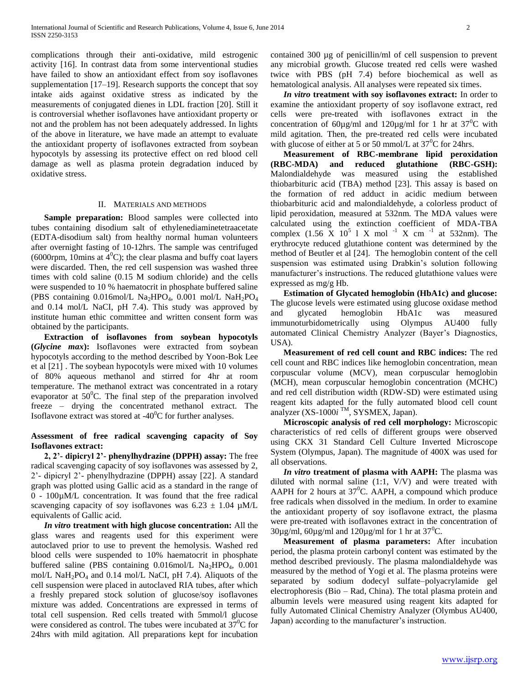complications through their anti-oxidative, mild estrogenic activity [16]. In contrast data from some interventional studies have failed to show an antioxidant effect from soy isoflavones supplementation [17–19]. Research supports the concept that soy intake aids against oxidative stress as indicated by the measurements of conjugated dienes in LDL fraction [20]. Still it is controversial whether isoflavones have antioxidant property or not and the problem has not been adequately addressed. In lights of the above in literature, we have made an attempt to evaluate the antioxidant property of isoflavones extracted from soybean hypocotyls by assessing its protective effect on red blood cell damage as well as plasma protein degradation induced by oxidative stress.

#### II. MATERIALS AND METHODS

 **Sample preparation:** Blood samples were collected into tubes containing disodium salt of ethylenediaminetetraacetate (EDTA-disodium salt) from healthy normal human volunteers after overnight fasting of 10-12hrs. The sample was centrifuged (6000rpm, 10mins at  $4^{\circ}$ C); the clear plasma and buffy coat layers were discarded. Then, the red cell suspension was washed three times with cold saline (0.15 M sodium chloride) and the cells were suspended to 10 % haematocrit in phosphate buffered saline (PBS containing  $0.016$ mol/L Na<sub>2</sub>HPO<sub>4</sub>,  $0.001$  mol/L NaH<sub>2</sub>PO<sub>4</sub> and 0.14 mol/L NaCI, pH 7.4). This study was approved by institute human ethic committee and written consent form was obtained by the participants.

 **Extraction of isoflavones from soybean hypocotyls (***Glycine max***):** Isoflavones were extracted from soybean hypocotyls according to the method described by Yoon-Bok Lee et al [21] . The soybean hypocotyls were mixed with 10 volumes of 80% aqueous methanol and stirred for 4hr at room temperature. The methanol extract was concentrated in a rotary evaporator at  $50^{\circ}$ C. The final step of the preparation involved freeze – drying the concentrated methanol extract. The Isoflavone extract was stored at  $-40^{\circ}$ C for further analyses.

# **Assessment of free radical scavenging capacity of Soy Isoflavones extract:**

 **2, 2'- dipicryl 2'- phenylhydrazine (DPPH) assay:** The free radical scavenging capacity of soy isoflavones was assessed by 2, 2'- dipicryl 2'- phenylhydrazine (DPPH) assay [22]. A standard graph was plotted using Gallic acid as a standard in the range of 0 - 100µM/L concentration. It was found that the free radical scavenging capacity of soy isoflavones was  $6.23 \pm 1.04 \mu M/L$ equivalents of Gallic acid.

 *In vitro* **treatment with high glucose concentration:** All the glass wares and reagents used for this experiment were autoclaved prior to use to prevent the hemolysis. Washed red blood cells were suspended to 10% haematocrit in phosphate buffered saline (PBS containing 0.016mol/L Na<sub>2</sub>HPO<sub>4</sub>, 0.001 mol/L Na $H_2PO_4$  and 0.14 mol/L NaCI, pH 7.4). Aliquots of the cell suspension were placed in autoclaved RIA tubes, after which a freshly prepared stock solution of glucose/soy isoflavones mixture was added. Concentrations are expressed in terms of total cell suspension. Red cells treated with 5mmol/l glucose were considered as control. The tubes were incubated at  $37^{\circ}$ C for 24hrs with mild agitation. All preparations kept for incubation

contained 300 µg of penicillin/ml of cell suspension to prevent any microbial growth. Glucose treated red cells were washed twice with PBS (pH 7.4) before biochemical as well as hematological analysis. All analyses were repeated six times.

 *In vitro* **treatment with soy isoflavones extract:** In order to examine the antioxidant property of soy isoflavone extract, red cells were pre-treated with isoflavones extract in the concentration of 60 $\mu$ g/ml and 120 $\mu$ g/ml for 1 hr at 37<sup>0</sup>C with mild agitation. Then, the pre-treated red cells were incubated with glucose of either at 5 or 50 mmol/L at  $37^{\circ}$ C for 24hrs.

 **Measurement of RBC-membrane lipid peroxidation (RBC-MDA) and reduced glutathione (RBC-GSH):**  Malondialdehyde was measured using the established thiobarbituric acid (TBA) method [23]. This assay is based on the formation of red adduct in acidic medium between thiobarbituric acid and malondialdehyde, a colorless product of lipid peroxidation, measured at 532nm. The MDA values were calculated using the extinction coefficient of MDA-TBA complex  $(1.56 \text{ X } 10^5 \text{ l X } \text{mol}^{-1} \text{ X cm}^{-1} \text{ at } 532 \text{nm})$ . The erythrocyte reduced glutathione content was determined by the method of Beutler et al [24]. The hemoglobin content of the cell suspension was estimated using Drabkin's solution following manufacturer's instructions. The reduced glutathione values were expressed as mg/g Hb.

 **Estimation of Glycated hemoglobin (HbA1c) and glucose:**  The glucose levels were estimated using glucose oxidase method and glycated hemoglobin HbA1c was measured immunoturbidometrically using Olympus AU400 fully automated Clinical Chemistry Analyzer (Bayer's Diagnostics, USA).

 **Measurement of red cell count and RBC indices:** The red cell count and RBC indices like hemoglobin concentration, mean corpuscular volume (MCV), mean corpuscular hemoglobin (MCH), mean corpuscular hemoglobin concentration (MCHC) and red cell distribution width (RDW-SD) were estimated using reagent kits adapted for the fully automated blood cell count analyzer (XS-1000*i* TM, SYSMEX, Japan).

 **Microscopic analysis of red cell morphology:** Microscopic characteristics of red cells of different groups were observed using CKX 31 Standard Cell Culture Inverted Microscope System (Olympus, Japan). The magnitude of 400X was used for all observations.

 *In vitro* **treatment of plasma with AAPH:** The plasma was diluted with normal saline (1:1, V/V) and were treated with AAPH for 2 hours at  $37^{\circ}$ C. AAPH, a compound which produce free radicals when dissolved in the medium. In order to examine the antioxidant property of soy isoflavone extract, the plasma were pre-treated with isoflavones extract in the concentration of  $30\mu$ g/ml,  $60\mu$ g/ml and  $120\mu$ g/ml for 1 hr at  $37^0$ C.

 **Measurement of plasma parameters:** After incubation period, the plasma protein carbonyl content was estimated by the method described previously. The plasma malondialdehyde was measured by the method of Yogi et al. The plasma proteins were separated by sodium dodecyl sulfate–polyacrylamide gel electrophoresis (Bio – Rad, China). The total plasma protein and albumin levels were measured using reagent kits adapted for fully Automated Clinical Chemistry Analyzer (Olymbus AU400, Japan) according to the manufacturer's instruction.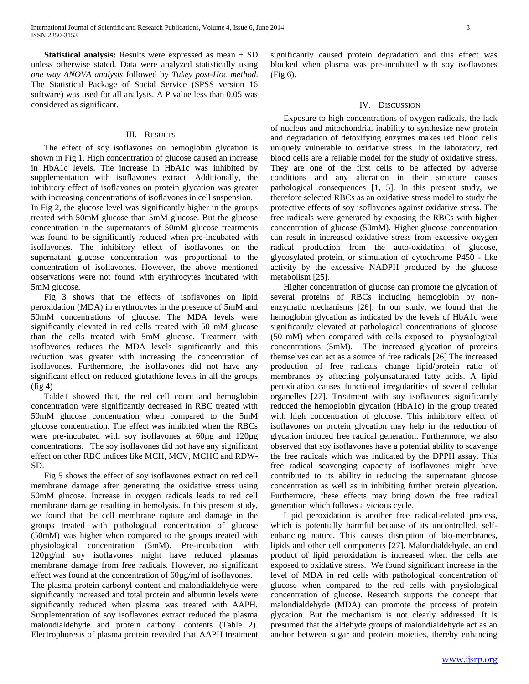**Statistical analysis:** Results were expressed as mean  $\pm$  SD unless otherwise stated. Data were analyzed statistically using *one way ANOVA analysis* followed by *Tukey post-Hoc method*. The Statistical Package of Social Service (SPSS version 16 software) was used for all analysis. A P value less than 0.05 was considered as significant.

#### III. RESULTS

 The effect of soy isoflavones on hemoglobin glycation is shown in Fig 1. High concentration of glucose caused an increase in HbA1c levels. The increase in HbA1c was inhibited by supplementation with isoflavones extract. Additionally, the inhibitory effect of isoflavones on protein glycation was greater with increasing concentrations of isoflavones in cell suspension.

In Fig 2, the glucose level was significantly higher in the groups treated with 50mM glucose than 5mM glucose. But the glucose concentration in the supernatants of 50mM glucose treatments was found to be significantly reduced when pre-incubated with isoflavones. The inhibitory effect of isoflavones on the supernatant glucose concentration was proportional to the concentration of isoflavones. However, the above mentioned observations were not found with erythrocytes incubated with 5mM glucose.

 Fig 3 shows that the effects of isoflavones on lipid peroxidation (MDA) in erythrocytes in the presence of 5mM and 50mM concentrations of glucose. The MDA levels were significantly elevated in red cells treated with 50 mM glucose than the cells treated with 5mM glucose. Treatment with isoflavones reduces the MDA levels significantly and this reduction was greater with increasing the concentration of isoflavones. Furthermore, the isoflavones did not have any significant effect on reduced glutathione levels in all the groups  $(fig 4)$ 

 Table1 showed that, the red cell count and hemoglobin concentration were significantly decreased in RBC treated with 50mM glucose concentration when compared to the 5mM glucose concentration. The effect was inhibited when the RBCs were pre-incubated with soy isoflavones at 60µg and 120µg concentrations. The soy isoflavones did not have any significant effect on other RBC indices like MCH, MCV, MCHC and RDW-SD.

 Fig 5 shows the effect of soy isoflavones extract on red cell membrane damage after generating the oxidative stress using 50mM glucose. Increase in oxygen radicals leads to red cell membrane damage resulting in hemolysis. In this present study, we found that the cell membrane rapture and damage in the groups treated with pathological concentration of glucose (50mM) was higher when compared to the groups treated with physiological concentration (5mM). Pre-incubation with 120µg/ml soy isoflavones might have reduced plasmas membrane damage from free radicals. However, no significant effect was found at the concentration of 60µg/ml of isoflavones.

The plasma protein carbonyl content and malondialdehyde were significantly increased and total protein and albumin levels were significantly reduced when plasma was treated with AAPH. Supplementation of soy isoflavones extract reduced the plasma malondialdehyde and protein carbonyl contents (Table 2). Electrophoresis of plasma protein revealed that AAPH treatment significantly caused protein degradation and this effect was blocked when plasma was pre-incubated with soy isoflavones (Fig 6).

#### IV. DISCUSSION

 Exposure to high concentrations of oxygen radicals, the lack of nucleus and mitochondria, inability to synthesize new protein and degradation of detoxifying enzymes makes red blood cells uniquely vulnerable to oxidative stress. In the laboratory, red blood cells are a reliable model for the study of oxidative stress. They are one of the first cells to be affected by adverse conditions and any alteration in their structure causes pathological consequences [1, 5]. In this present study, we therefore selected RBCs as an oxidative stress model to study the protective effects of soy isoflavones against oxidative stress. The free radicals were generated by exposing the RBCs with higher concentration of glucose (50mM). Higher glucose concentration can result in increased oxidative stress from excessive oxygen radical production from the auto-oxidation of glucose, glycosylated protein, or stimulation of cytochrome P450 - like activity by the excessive NADPH produced by the glucose metabolism [25].

 Higher concentration of glucose can promote the glycation of several proteins of RBCs including hemoglobin by nonenzymatic mechanisms [26]. In our study, we found that the hemoglobin glycation as indicated by the levels of HbA1c were significantly elevated at pathological concentrations of glucose (50 mM) when compared with cells exposed to physiological concentrations (5mM). The increased glycation of proteins themselves can act as a source of free radicals [26] The increased production of free radicals change lipid/protein ratio of membranes by affecting polyunsaturated fatty acids. A lipid peroxidation causes functional irregularities of several cellular organelles [27]. Treatment with soy isoflavones significantly reduced the hemoglobin glycation (HbA1c) in the group treated with high concentration of glucose. This inhibitory effect of isoflavones on protein glycation may help in the reduction of glycation induced free radical generation. Furthermore, we also observed that soy isoflavones have a potential ability to scavenge the free radicals which was indicated by the DPPH assay. This free radical scavenging capacity of isoflavones might have contributed to its ability in reducing the supernatant glucose concentration as well as in inhibiting further protein glycation. Furthermore, these effects may bring down the free radical generation which follows a vicious cycle.

 Lipid peroxidation is another free radical-related process, which is potentially harmful because of its uncontrolled, selfenhancing nature. This causes disruption of bio-membranes, lipids and other cell components [27]. Malondialdehyde, an end product of lipid peroxidation is increased when the cells are exposed to oxidative stress. We found significant increase in the level of MDA in red cells with pathological concentration of glucose when compared to the red cells with physiological concentration of glucose. Research supports the concept that malondialdehyde (MDA) can promote the process of protein glycation. But the mechanism is not clearly addressed. It is presumed that the aldehyde groups of malondialdehyde act as an anchor between sugar and protein moieties, thereby enhancing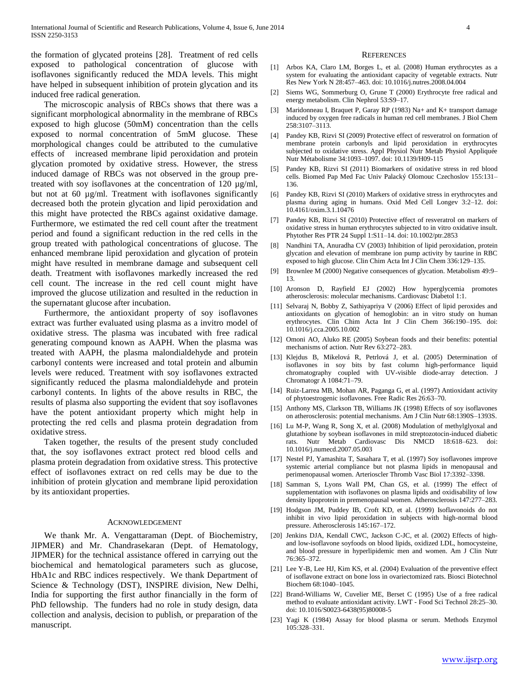the formation of glycated proteins [28]. Treatment of red cells exposed to pathological concentration of glucose with isoflavones significantly reduced the MDA levels. This might have helped in subsequent inhibition of protein glycation and its induced free radical generation.

 The microscopic analysis of RBCs shows that there was a significant morphological abnormality in the membrane of RBCs exposed to high glucose (50mM) concentration than the cells exposed to normal concentration of 5mM glucose. These morphological changes could be attributed to the cumulative effects of increased membrane lipid peroxidation and protein glycation promoted by oxidative stress. However, the stress induced damage of RBCs was not observed in the group pretreated with soy isoflavones at the concentration of 120 µg/ml, but not at 60 µg/ml. Treatment with isoflavones significantly decreased both the protein glycation and lipid peroxidation and this might have protected the RBCs against oxidative damage. Furthermore, we estimated the red cell count after the treatment period and found a significant reduction in the red cells in the group treated with pathological concentrations of glucose. The enhanced membrane lipid peroxidation and glycation of protein might have resulted in membrane damage and subsequent cell death. Treatment with isoflavones markedly increased the red cell count. The increase in the red cell count might have improved the glucose utilization and resulted in the reduction in the supernatant glucose after incubation.

 Furthermore, the antioxidant property of soy isoflavones extract was further evaluated using plasma as a invitro model of oxidative stress. The plasma was incubated with free radical generating compound known as AAPH. When the plasma was treated with AAPH, the plasma malondialdehyde and protein carbonyl contents were increased and total protein and albumin levels were reduced. Treatment with soy isoflavones extracted significantly reduced the plasma malondialdehyde and protein carbonyl contents. In lights of the above results in RBC, the results of plasma also supporting the evident that soy isoflavones have the potent antioxidant property which might help in protecting the red cells and plasma protein degradation from oxidative stress.

 Taken together, the results of the present study concluded that, the soy isoflavones extract protect red blood cells and plasma protein degradation from oxidative stress. This protective effect of isoflavones extract on red cells may be due to the inhibition of protein glycation and membrane lipid peroxidation by its antioxidant properties.

#### ACKNOWLEDGEMENT

 We thank Mr. A. Vengattaraman (Dept. of Biochemistry, JIPMER) and Mr. Chandrasekaran (Dept. of Hematology, JIPMER) for the technical assistance offered in carrying out the biochemical and hematological parameters such as glucose, HbA1c and RBC indices respectively. We thank Department of Science & Technology (DST), INSPIRE division, New Delhi, India for supporting the first author financially in the form of PhD fellowship. The funders had no role in study design, data collection and analysis, decision to publish, or preparation of the manuscript.

#### **REFERENCES**

- [1] Arbos KA, Claro LM, Borges L, et al. (2008) Human erythrocytes as a system for evaluating the antioxidant capacity of vegetable extracts. Nutr Res New York N 28:457–463. doi: 10.1016/j.nutres.2008.04.004
- [2] Siems WG, Sommerburg O, Grune T (2000) Erythrocyte free radical and energy metabolism. Clin Nephrol 53:S9–17.
- [3] Maridonneau I, Braquet P, Garay RP (1983) Na+ and K+ transport damage induced by oxygen free radicals in human red cell membranes. J Biol Chem 258:3107–3113.
- [4] Pandey KB, Rizvi SI (2009) Protective effect of resveratrol on formation of membrane protein carbonyls and lipid peroxidation in erythrocytes subjected to oxidative stress. Appl Physiol Nutr Metab Physiol Appliquée Nutr Métabolisme 34:1093–1097. doi: 10.1139/H09-115
- [5] Pandey KB, Rizvi SI (2011) Biomarkers of oxidative stress in red blood cells. Biomed Pap Med Fac Univ Palacký Olomouc Czechoslov 155:131– 136.
- [6] Pandey KB, Rizvi SI (2010) Markers of oxidative stress in erythrocytes and plasma during aging in humans. Oxid Med Cell Longev 3:2–12. doi: 10.4161/oxim.3.1.10476
- [7] Pandey KB, Rizvi SI (2010) Protective effect of resveratrol on markers of oxidative stress in human erythrocytes subjected to in vitro oxidative insult. Phytother Res PTR 24 Suppl 1:S11–14. doi: 10.1002/ptr.2853
- [8] Nandhini TA, Anuradha CV (2003) Inhibition of lipid peroxidation, protein glycation and elevation of membrane ion pump activity by taurine in RBC exposed to high glucose. Clin Chim Acta Int J Clin Chem 336:129–135.
- [9] Brownlee M (2000) Negative consequences of glycation. Metabolism 49:9– 13.
- [10] Aronson D, Rayfield EJ (2002) How hyperglycemia promotes atherosclerosis: molecular mechanisms. Cardiovasc Diabetol 1:1.
- [11] Selvaraj N, Bobby Z, Sathiyapriya V (2006) Effect of lipid peroxides and antioxidants on glycation of hemoglobin: an in vitro study on human erythrocytes. Clin Chim Acta Int J Clin Chem 366:190–195. doi: 10.1016/j.cca.2005.10.002
- [12] Omoni AO, Aluko RE (2005) Soybean foods and their benefits: potential mechanisms of action. Nutr Rev 63:272–283.
- [13] Klejdus B, Mikelová R, Petrlová J, et al. (2005) Determination of isoflavones in soy bits by fast column high-performance liquid chromatography coupled with UV-visible diode-array detection. J Chromatogr A 1084:71–79.
- [14] Ruiz-Larrea MB, Mohan AR, Paganga G, et al. (1997) Antioxidant activity of phytoestrogenic isoflavones. Free Radic Res 26:63–70.
- [15] Anthony MS, Clarkson TB, Williams JK (1998) Effects of soy isoflavones on atherosclerosis: potential mechanisms. Am J Clin Nutr 68:1390S–1393S.
- [16] Lu M-P, Wang R, Song X, et al. (2008) Modulation of methylglyoxal and glutathione by soybean isoflavones in mild streptozotocin-induced diabetic rats. Nutr Metab Cardiovasc Dis NMCD 18:618–623. doi: 10.1016/j.numecd.2007.05.003
- [17] Nestel PJ, Yamashita T, Sasahara T, et al. (1997) Soy isoflavones improve systemic arterial compliance but not plasma lipids in menopausal and perimenopausal women. Arterioscler Thromb Vasc Biol 17:3392–3398.
- [18] Samman S, Lyons Wall PM, Chan GS, et al. (1999) The effect of supplementation with isoflavones on plasma lipids and oxidisability of low density lipoprotein in premenopausal women. Atherosclerosis 147:277–283.
- [19] Hodgson JM, Puddey IB, Croft KD, et al. (1999) Isoflavonoids do not inhibit in vivo lipid peroxidation in subjects with high-normal blood pressure. Atherosclerosis 145:167–172.
- [20] Jenkins DJA, Kendall CWC, Jackson C-JC, et al. (2002) Effects of highand low-isoflavone soyfoods on blood lipids, oxidized LDL, homocysteine, and blood pressure in hyperlipidemic men and women. Am J Clin Nutr 76:365–372.
- [21] Lee Y-B, Lee HJ, Kim KS, et al. (2004) Evaluation of the preventive effect of isoflavone extract on bone loss in ovariectomized rats. Biosci Biotechnol Biochem 68:1040–1045.
- [22] Brand-Williams W, Cuvelier ME, Berset C (1995) Use of a free radical method to evaluate antioxidant activity. LWT - Food Sci Technol 28:25–30. doi: 10.1016/S0023-6438(95)80008-5
- [23] Yagi K (1984) Assay for blood plasma or serum. Methods Enzymol 105:328–331.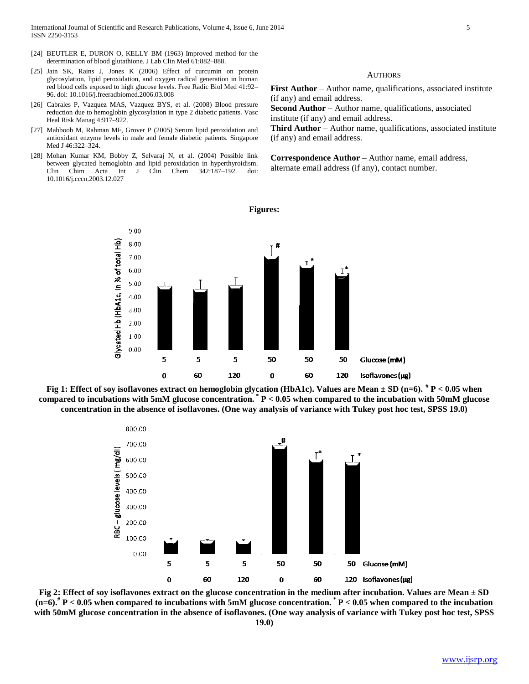- [24] BEUTLER E, DURON O, KELLY BM (1963) Improved method for the determination of blood glutathione. J Lab Clin Med 61:882–888.
- [25] Jain SK, Rains J, Jones K (2006) Effect of curcumin on protein glycosylation, lipid peroxidation, and oxygen radical generation in human red blood cells exposed to high glucose levels. Free Radic Biol Med 41:92– 96. doi: 10.1016/j.freeradbiomed.2006.03.008
- [26] Cabrales P, Vazquez MAS, Vazquez BYS, et al. (2008) Blood pressure reduction due to hemoglobin glycosylation in type 2 diabetic patients. Vasc Heal Risk Manag 4:917–922.
- [27] Mahboob M, Rahman MF, Grover P (2005) Serum lipid peroxidation and antioxidant enzyme levels in male and female diabetic patients. Singapore Med J 46:322–324.
- [28] Mohan Kumar KM, Bobby Z, Selvaraj N, et al. (2004) Possible link between glycated hemoglobin and lipid peroxidation in hyperthyroidism. Clin Chim Acta Int J Clin Chem 342:187–192. doi: 10.1016/j.cccn.2003.12.027

## **AUTHORS**

**First Author** – Author name, qualifications, associated institute (if any) and email address.

**Second Author** – Author name, qualifications, associated institute (if any) and email address.

**Third Author** – Author name, qualifications, associated institute (if any) and email address.

**Correspondence Author** – Author name, email address, alternate email address (if any), contact number.







**Fig 2: Effect of soy isoflavones extract on the glucose concentration in the medium after incubation. Values are Mean ± SD (n=6).# P < 0.05 when compared to incubations with 5mM glucose concentration. \* P < 0.05 when compared to the incubation with 50mM glucose concentration in the absence of isoflavones. (One way analysis of variance with Tukey post hoc test, SPSS 19.0)**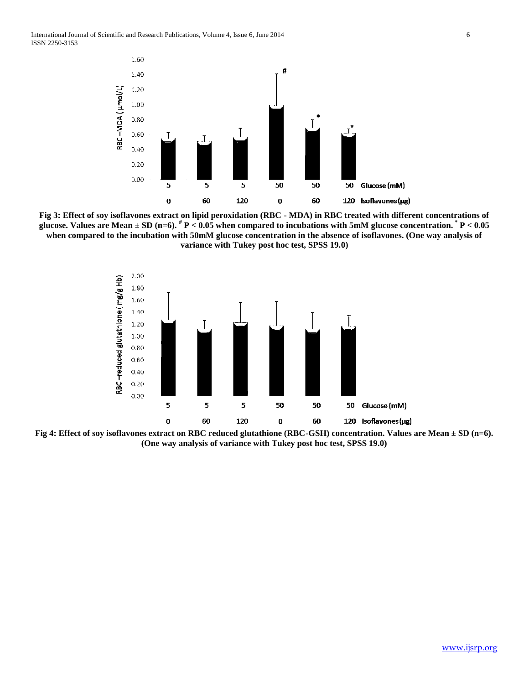

**Fig 3: Effect of soy isoflavones extract on lipid peroxidation (RBC - MDA) in RBC treated with different concentrations of glucose. Values are Mean ± SD (n=6). # P < 0.05 when compared to incubations with 5mM glucose concentration. \* P < 0.05 when compared to the incubation with 50mM glucose concentration in the absence of isoflavones. (One way analysis of variance with Tukey post hoc test, SPSS 19.0)**



**Fig 4: Effect of soy isoflavones extract on RBC reduced glutathione (RBC-GSH) concentration. Values are Mean ± SD (n=6). (One way analysis of variance with Tukey post hoc test, SPSS 19.0)**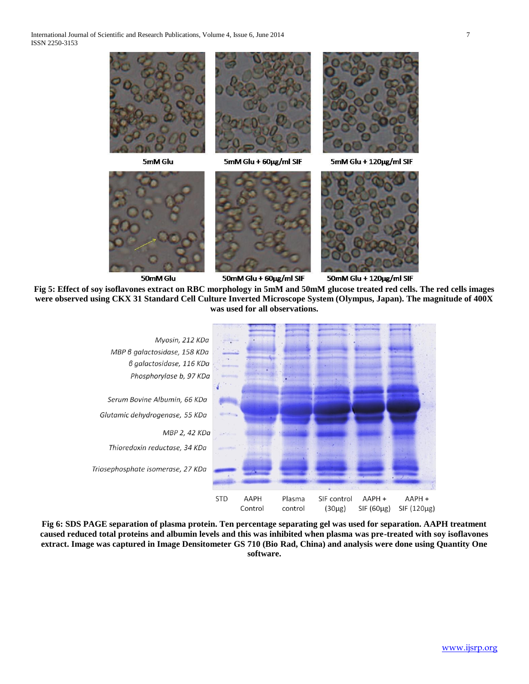

5mM Glu









5mM Glu + 120µg/ml SIF



50mM Glu

50mM Glu + 60µg/ml SIF

50mM Glu + 120µg/ml SIF

**Fig 5: Effect of soy isoflavones extract on RBC morphology in 5mM and 50mM glucose treated red cells. The red cells images were observed using CKX 31 Standard Cell Culture Inverted Microscope System (Olympus, Japan). The magnitude of 400X was used for all observations.**



**Fig 6: SDS PAGE separation of plasma protein. Ten percentage separating gel was used for separation. AAPH treatment caused reduced total proteins and albumin levels and this was inhibited when plasma was pre-treated with soy isoflavones extract. Image was captured in Image Densitometer GS 710 (Bio Rad, China) and analysis were done using Quantity One software.**